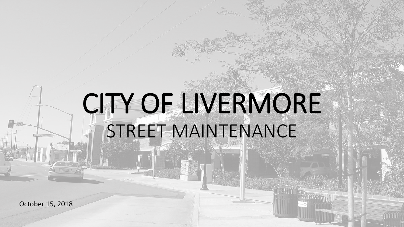# CITY OF LIVERMORE STREET MAINTENANCE

October 15, 2018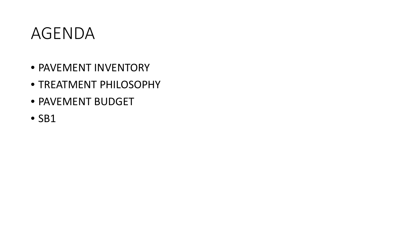#### AGENDA

- PAVEMENT INVENTORY
- TREATMENT PHILOSOPHY
- PAVEMENT BUDGET
- SB1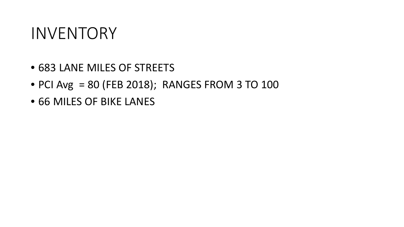#### INVENTORY

- 683 LANE MILES OF STREETS
- PCI Avg = 80 (FEB 2018); RANGES FROM 3 TO 100
- 66 MILES OF BIKE LANES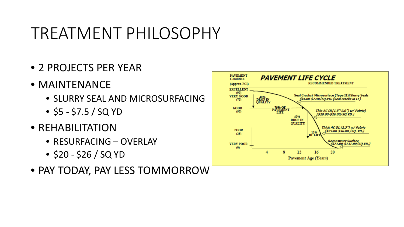- 2 PROJECTS PER YEAR
- MAINTENANCE
	- SLURRY SEAL AND MICROSURFACING
	- $\bullet$  \$5 \$7.5 / SQ YD
- REHABILITATION
	- RESURFACING OVERLAY
	- $\bullet$  \$20 \$26 / SQ YD
- PAY TODAY, PAY LESS TOMMORROW

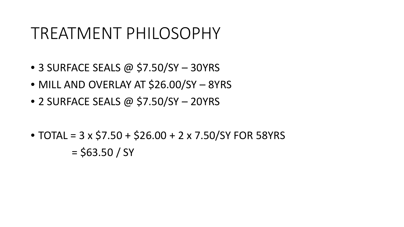- 3 SURFACE SEALS @ \$7.50/SY 30YRS
- MILL AND OVERLAY AT \$26.00/SY 8YRS
- 2 SURFACE SEALS @ \$7.50/SY 20YRS
- TOTAL =  $3 \times$  \$7.50 + \$26.00 + 2  $\times$  7.50/SY FOR 58YRS  $=$  \$63.50 / SY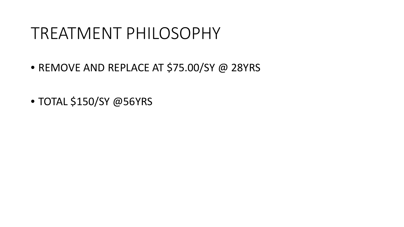- REMOVE AND REPLACE AT \$75.00/SY @ 28YRS
- TOTAL \$150/SY @56YRS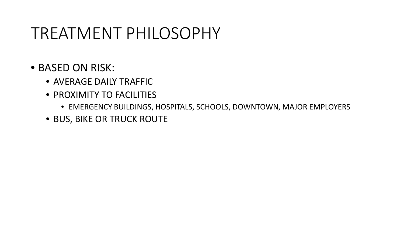#### • BASED ON RISK:

- AVERAGE DAILY TRAFFIC
- PROXIMITY TO FACILITIES
	- EMERGENCY BUILDINGS, HOSPITALS, SCHOOLS, DOWNTOWN, MAJOR EMPLOYERS
- BUS, BIKE OR TRUCK ROUTE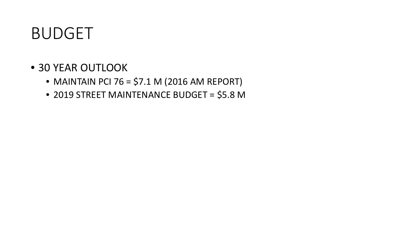### BUDGET

- 30 YEAR OUTLOOK
	- MAINTAIN PCI 76 = \$7.1 M (2016 AM REPORT)
	- 2019 STREET MAINTENANCE BUDGET = \$5.8 M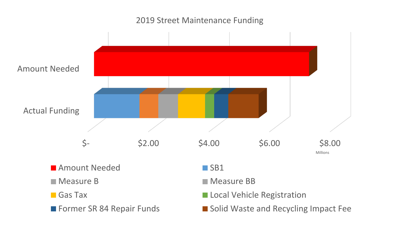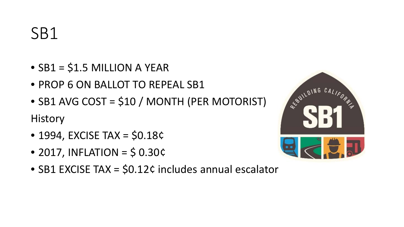- $\bullet$  SB1 = \$1.5 MILLION A YEAR
- PROP 6 ON BALLOT TO REPEAL SB1
- SB1 AVG COST = \$10 / MONTH (PER MOTORIST) **History**
- $\bullet$  1994, EXCISE TAX = \$0.18¢
- $\bullet$  2017, INFLATION = \$ 0.30¢
- SB1 EXCISE TAX = \$0.12¢ includes annual escalator

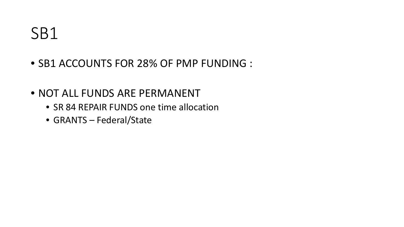- SB1 ACCOUNTS FOR 28% OF PMP FUNDING :
- NOT ALL FUNDS ARE PERMANENT
	- SR 84 REPAIR FUNDS one time allocation
	- GRANTS Federal/State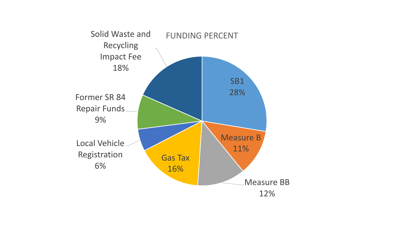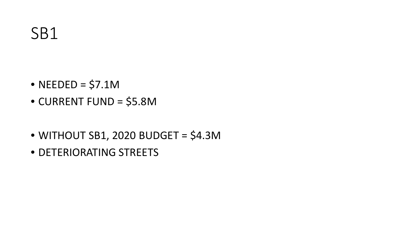- NEEDED =  $$7.1M$
- CURRENT FUND = \$5.8M
- $\bullet$  WITHOUT SB1, 2020 BUDGET = \$4.3M
- DETERIORATING STREETS